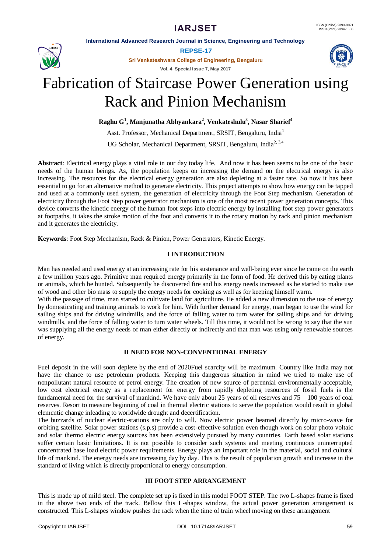# **IARJSET**

**International Advanced Research Journal in Science, Engineering and Technology**



**REPSE-17**

**Sri Venkateshwara College of Engineering, Bengaluru**

**Vol. 4, Special Issue 7, May 2017**



# Fabrication of Staircase Power Generation using Rack and Pinion Mechanism

**Raghu G<sup>1</sup> , Manjunatha Abhyankara<sup>2</sup> , Venkateshulu<sup>3</sup> , Nasar Sharief<sup>4</sup>**

Asst. Professor, Mechanical Department, SRSIT, Bengaluru, India<sup>1</sup>

UG Scholar, Mechanical Department, SRSIT, Bengaluru, India<sup>2, 3,4</sup>

**Abstract**: Electrical energy plays a vital role in our day today life. And now it has been seems to be one of the basic needs of the human beings. As, the population keeps on increasing the demand on the electrical energy is also increasing. The resources for the electrical energy generation are also depleting at a faster rate. So now it has been essential to go for an alternative method to generate electricity. This project attempts to show how energy can be tapped and used at a commonly used system, the generation of electricity through the Foot Step mechanism. Generation of electricity through the Foot Step power generator mechanism is one of the most recent power generation concepts. This device converts the kinetic energy of the human foot steps into electric energy by installing foot step power generators at footpaths, it takes the stroke motion of the foot and converts it to the rotary motion by rack and pinion mechanism and it generates the electricity.

**Keywords**: Foot Step Mechanism, Rack & Pinion, Power Generators, Kinetic Energy.

# **I INTRODUCTION**

Man has needed and used energy at an increasing rate for his sustenance and well-being ever since he came on the earth a few million years ago. Primitive man required energy primarily in the form of food. He derived this by eating plants or animals, which he hunted. Subsequently he discovered fire and his energy needs increased as he started to make use of wood and other bio mass to supply the energy needs for cooking as well as for keeping himself warm.

With the passage of time, man started to cultivate land for agriculture. He added a new dimension to the use of energy by domesticating and training animals to work for him. With further demand for energy, man began to use the wind for sailing ships and for driving windmills, and the force of falling water to turn water for sailing ships and for driving windmills, and the force of falling water to turn water wheels. Till this time, it would not be wrong to say that the sun was supplying all the energy needs of man either directly or indirectly and that man was using only renewable sources of energy.

# **II NEED FOR NON-CONVENTIONAL ENERGY**

Fuel deposit in the will soon deplete by the end of 2020Fuel scarcity will be maximum. Country like India may not have the chance to use petroleum products. Keeping this dangerous situation in mind we tried to make use of nonpollutant natural resource of petrol energy. The creation of new source of perennial environmentally acceptable, low cost electrical energy as a replacement for energy from rapidly depleting resources of fossil fuels is the fundamental need for the survival of mankind. We have only about 25 years of oil reserves and 75 – 100 years of coal reserves. Resort to measure beginning of coal in thermal electric stations to serve the population would result in global elementic change inleading to worldwide drought and decertification.

The buzzards of nuclear electric-stations are only to will. Now electric power beamed directly by micro-wave for orbiting satellite. Solar power stations (s.p.s) provide a cost-effective solution even though work on solar photo voltaic and solar thermo electric energy sources has been extensively pursued by many countries. Earth based solar stations suffer certain basic limitations. It is not possible to consider such systems and meeting continuous uninterrupted concentrated base load electric power requirements. Energy plays an important role in the material, social and cultural life of mankind. The energy needs are increasing day by day. This is the result of population growth and increase in the standard of living which is directly proportional to energy consumption.

# **III FOOT STEP ARRANGEMENT**

This is made up of mild steel. The complete set up is fixed in this model FOOT STEP. The two L-shapes frame is fixed in the above two ends of the track. Bellow this L-shapes window, the actual power generation arrangement is constructed. This L-shapes window pushes the rack when the time of train wheel moving on these arrangement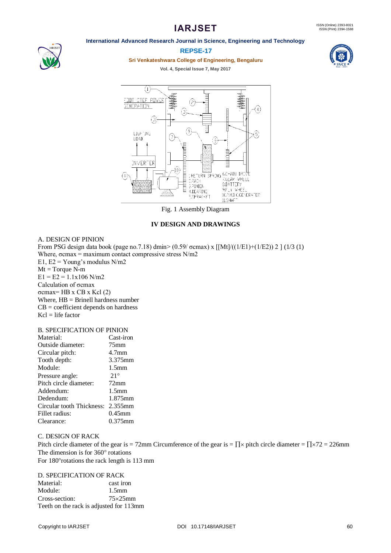# **IARJSET**

# **International Advanced Research Journal in Science, Engineering and Technology**



#### **REPSE-17**

**Sri Venkateshwara College of Engineering, Bengaluru**

**Vol. 4, Special Issue 7, May 2017**





Fig. 1 Assembly Diagram

# **IV DESIGN AND DRAWINGS**

#### A. DESIGN OF PINION

From PSG design data book (page no.7.18) dmin> (0.59/ σcmax) х [[Mt]/((1/E1)+(1/E2)) 2 ] (1/3 (1) Where,  $\sigma$ cmax = maximum contact compressive stress N/m2 E1,  $E2 = Young's$  modulus  $N/m2$  $Mt = Torque N-m$  $E1 = E2 = 1.1x106$  N/m2 Calculation of σcmax σcmax= HB x CB x Kcl  $(2)$ Where, HB = Brinell hardness number  $CB = coefficient depends on hardness$  $Kcl = life factor$ 

#### B. SPECIFICATION OF PINION

| Cast-iron         |
|-------------------|
| 75 <sub>mm</sub>  |
| 4.7 <sub>mm</sub> |
| 3.375mm           |
| 1.5 <sub>mm</sub> |
| $21^{\circ}$      |
| $72 \text{mm}$    |
| 1.5 <sub>mm</sub> |
| 1.875mm           |
| 2.355mm           |
| $0.45$ mm         |
| 0.375mm           |
|                   |

C. DESIGN OF RACK Pitch circle diameter of the gear is = 72mm Circumference of the gear is =  $\prod \times$  pitch circle diameter =  $\prod \times 72$  = 226mm The dimension is for  $360^\circ$  rotations For 180° rotations the rack length is 113 mm

#### D. SPECIFICATION OF RACK

Material: cast iron Module: 1.5mm Cross-section: 75×25mm Teeth on the rack is adjusted for 113mm